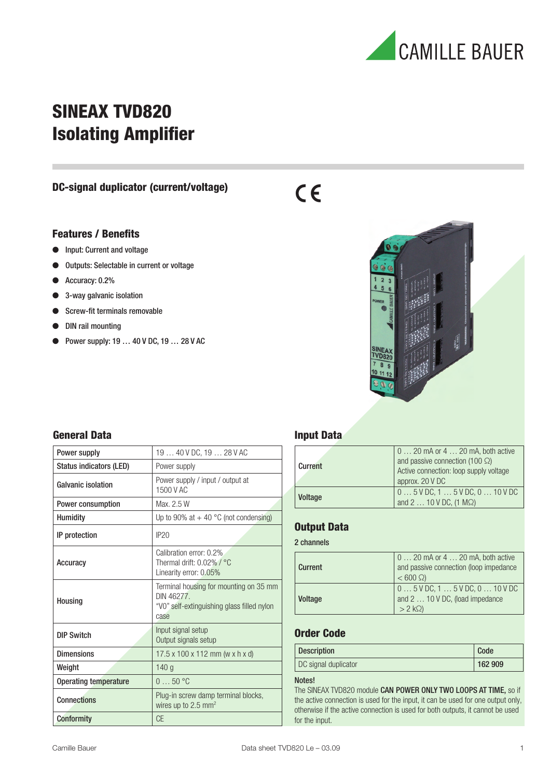

## **SINEAX TVD820 Isolating Amplifier**

#### **DC-signal duplicator (current/voltage)**

#### **Features / Benefits**

- Input: Current and voltage
- Outputs: Selectable in current or voltage
- Accuracy: 0.2%
- 3-way galvanic isolation
- Screw-fit terminals removable
- DIN rail mounting
- Power supply:  $19...40$  V DC,  $19...28$  V AC



### **General Data**

| Power supply                                                                                   | 19  40 V DC, 19  28 V AC                                                                                   |  |
|------------------------------------------------------------------------------------------------|------------------------------------------------------------------------------------------------------------|--|
| <b>Status indicators (LED)</b>                                                                 | Power supply                                                                                               |  |
| <b>Galvanic isolation</b>                                                                      | Power supply / input / output at<br>1500 V AC                                                              |  |
| Power consumption                                                                              | Max. 2.5 W                                                                                                 |  |
| <b>Humidity</b>                                                                                | Up to 90% at $+$ 40 °C (not condensing)                                                                    |  |
| IP protection                                                                                  | IP20                                                                                                       |  |
| Accuracy                                                                                       | Calibration error: 0.2%<br>Thermal drift: $0.02\%$ / $^{\circ}$ C<br>Linearity error: 0.05%                |  |
| Housing                                                                                        | Terminal housing for mounting on 35 mm<br>DIN 46277.<br>"V0" self-extinguishing glass filled nylon<br>case |  |
| <b>DIP Switch</b>                                                                              | Input signal setup<br>Output signals setup                                                                 |  |
| <b>Dimensions</b>                                                                              | $17.5 \times 100 \times 112$ mm (w x h x d)                                                                |  |
| Weight                                                                                         | 140 <sub>g</sub>                                                                                           |  |
| Operating temperature                                                                          | $050$ °C                                                                                                   |  |
| Plug-in screw damp terminal blocks,<br><b>Connections</b><br>wires up to $2.5$ mm <sup>2</sup> |                                                                                                            |  |
| Conformity                                                                                     | <b>CE</b>                                                                                                  |  |

### **Input Data**

 $C<sub>6</sub>$ 

| Current        | $0 \ldots 20$ mA or $4 \ldots 20$ mA, both active<br>and passive connection (100 $\Omega$ )<br>Active connection: loop supply voltage<br>approx. 20 V DC |
|----------------|----------------------------------------------------------------------------------------------------------------------------------------------------------|
| <b>Voltage</b> | $05$ V DC, 1 $5$ V DC, 0 $$ 10 V DC<br>and $2 \ldots 10 \, \text{V} \, \text{DC}$ , (1 M $\Omega$ )                                                      |

#### **Output Data**

#### 2 channels

| Current | $0 \ldots 20$ mA or $4 \ldots 20$ mA, both active<br>and passive connection (loop impedance<br>$< 600 \Omega$ |
|---------|---------------------------------------------------------------------------------------------------------------|
| Voltage | $05$ V DC, 1 $5$ V DC, 0 $$ 10 V DC<br>and 2  10 V DC, (load impedance<br>$> 2 k\Omega$                       |

## **Order Code**

| <b>Description</b>   | Code    |
|----------------------|---------|
| DC signal duplicator | 162 909 |

#### Notes!

The SINEAX TVD820 module CAN POWER ONLY TWO LOOPS AT TIME, so if the active connection is used for the input, it can be used for one output only, otherwise if the active connection is used for both outputs, it cannot be used for the input.